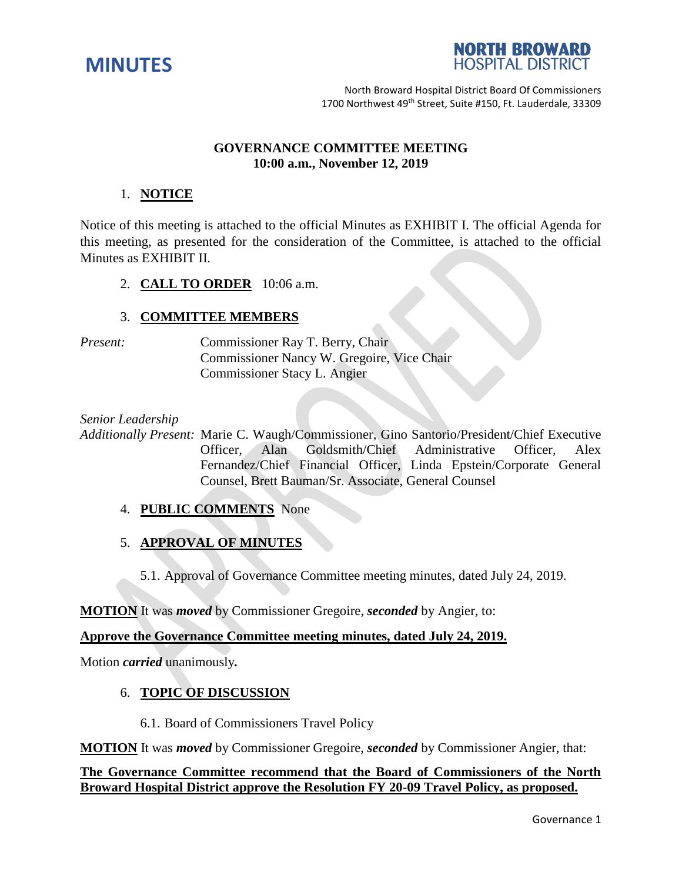



North Broward Hospital District Board Of Commissioners 1700 Northwest 49<sup>th</sup> Street, Suite #150, Ft. Lauderdale, 33309

# **GOVERNANCE COMMITTEE MEETING 10:00 a.m., November 12, 2019**

# 1. **NOTICE**

Notice of this meeting is attached to the official Minutes as EXHIBIT I. The official Agenda for this meeting, as presented for the consideration of the Committee, is attached to the official Minutes as EXHIBIT II.

2. **CALL TO ORDER** 10:06 a.m.

# 3. **COMMITTEE MEMBERS**

*Present:* Commissioner Ray T. Berry, Chair Commissioner Nancy W. Gregoire, Vice Chair Commissioner Stacy L. Angier

*Senior Leadership*

*Additionally Present:* Marie C. Waugh/Commissioner, Gino Santorio/President/Chief Executive Officer, Alan Goldsmith/Chief Administrative Officer, Alex Fernandez/Chief Financial Officer, Linda Epstein/Corporate General Counsel, Brett Bauman/Sr. Associate, General Counsel

# 4. **PUBLIC COMMENTS** None

5. **APPROVAL OF MINUTES** 

5.1. Approval of Governance Committee meeting minutes, dated July 24, 2019.

**MOTION** It was *moved* by Commissioner Gregoire, *seconded* by Angier, to:

# **Approve the Governance Committee meeting minutes, dated July 24, 2019.**

Motion *carried* unanimously*.* 

# 6. **TOPIC OF DISCUSSION**

6.1. Board of Commissioners Travel Policy

**MOTION** It was *moved* by Commissioner Gregoire, *seconded* by Commissioner Angier, that:

# **The Governance Committee recommend that the Board of Commissioners of the North Broward Hospital District approve the Resolution FY 20-09 Travel Policy, as proposed.**

Governance 1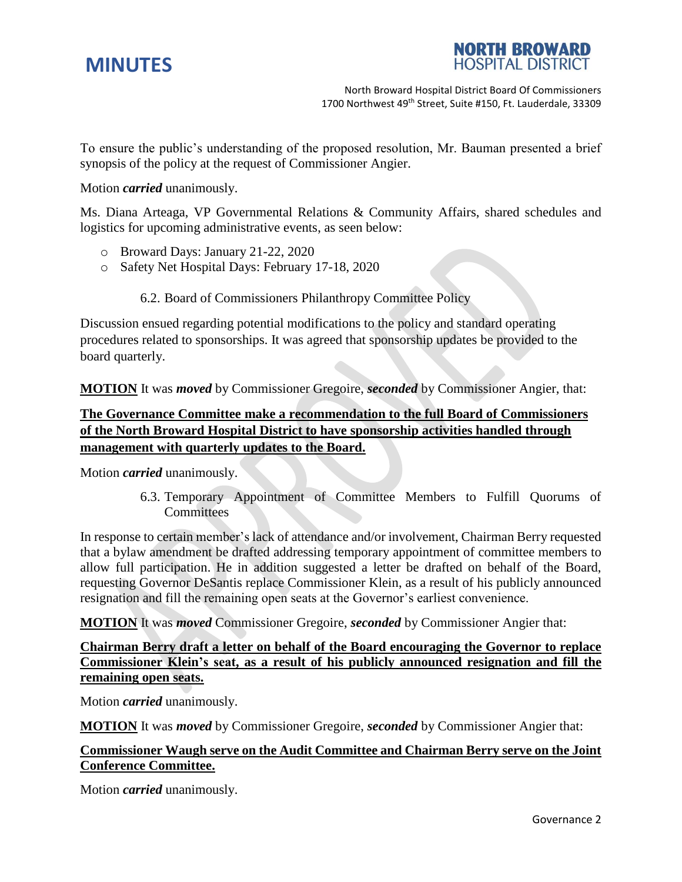



North Broward Hospital District Board Of Commissioners 1700 Northwest 49<sup>th</sup> Street, Suite #150, Ft. Lauderdale, 33309

To ensure the public's understanding of the proposed resolution, Mr. Bauman presented a brief synopsis of the policy at the request of Commissioner Angier.

#### Motion *carried* unanimously.

Ms. Diana Arteaga, VP Governmental Relations & Community Affairs, shared schedules and logistics for upcoming administrative events, as seen below:

- o Broward Days: January 21-22, 2020
- o Safety Net Hospital Days: February 17-18, 2020
	- 6.2. Board of Commissioners Philanthropy Committee Policy

Discussion ensued regarding potential modifications to the policy and standard operating procedures related to sponsorships. It was agreed that sponsorship updates be provided to the board quarterly.

**MOTION** It was *moved* by Commissioner Gregoire, *seconded* by Commissioner Angier, that:

# **The Governance Committee make a recommendation to the full Board of Commissioners of the North Broward Hospital District to have sponsorship activities handled through management with quarterly updates to the Board.**

Motion *carried* unanimously.

6.3. Temporary Appointment of Committee Members to Fulfill Quorums of **Committees** 

In response to certain member's lack of attendance and/or involvement, Chairman Berry requested that a bylaw amendment be drafted addressing temporary appointment of committee members to allow full participation. He in addition suggested a letter be drafted on behalf of the Board, requesting Governor DeSantis replace Commissioner Klein, as a result of his publicly announced resignation and fill the remaining open seats at the Governor's earliest convenience.

**MOTION** It was *moved* Commissioner Gregoire, *seconded* by Commissioner Angier that:

# **Chairman Berry draft a letter on behalf of the Board encouraging the Governor to replace Commissioner Klein's seat, as a result of his publicly announced resignation and fill the remaining open seats.**

Motion *carried* unanimously.

**MOTION** It was *moved* by Commissioner Gregoire, *seconded* by Commissioner Angier that:

# **Commissioner Waugh serve on the Audit Committee and Chairman Berry serve on the Joint Conference Committee.**

Motion *carried* unanimously.